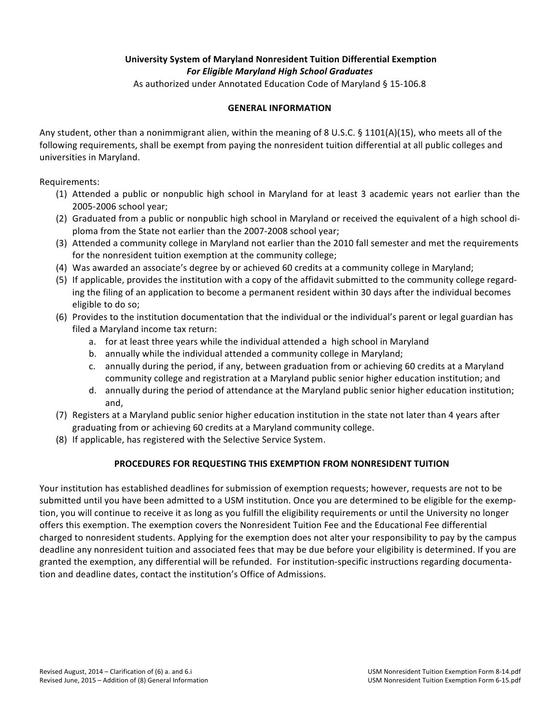# **University System of Maryland Nonresident Tuition Differential Exemption** *For\$Eligible\$Maryland\$High\$School\$Graduates*

As authorized under Annotated Education Code of Maryland § 15-106.8

# **GENERAL!INFORMATION!**

Any student, other than a nonimmigrant alien, within the meaning of 8 U.S.C. § 1101(A)(15), who meets all of the following requirements, shall be exempt from paying the nonresident tuition differential at all public colleges and universities in Maryland.

Requirements:

- (1) Attended a public or nonpublic high school in Maryland for at least 3 academic years not earlier than the 2005-2006 school year;
- (2) Graduated from a public or nonpublic high school in Maryland or received the equivalent of a high school diploma from the State not earlier than the 2007-2008 school year;
- (3) Attended a community college in Maryland not earlier than the 2010 fall semester and met the requirements' for the nonresident tuition exemption at the community college;
- (4) Was awarded an associate's degree by or achieved 60 credits at a community college in Maryland;
- (5) If applicable, provides the institution with a copy of the affidavit submitted to the community college regarding the filing of an application to become a permanent resident within 30 days after the individual becomes eligible to do so;
- (6) Provides to the institution documentation that the individual or the individual's parent or legal guardian has filed a Maryland income tax return:
	- a. for at least three years while the individual attended a high school in Maryland
	- b. annually while the individual attended a community college in Maryland;
	- c. annually during the period, if any, between graduation from or achieving 60 credits at a Maryland community college and registration at a Maryland public senior higher education institution; and
	- d. annually during the period of attendance at the Maryland public senior higher education institution; and,
- (7) Registers'at'a'Maryland'public'senior'higher'education'institution'in'the'state'not'later'than'4'years'after' graduating from or achieving 60 credits at a Maryland community college.
- (8) If applicable, has registered with the Selective Service System.

# PROCEDURES FOR REQUESTING THIS EXEMPTION FROM NONRESIDENT TUITION

Your institution has established deadlines for submission of exemption requests; however, requests are not to be submitted until you have been admitted to a USM institution. Once you are determined to be eligible for the exemption, you will continue to receive it as long as you fulfill the eligibility requirements or until the University no longer offers this exemption. The exemption covers the Nonresident Tuition Fee and the Educational Fee differential charged to nonresident students. Applying for the exemption does not alter your responsibility to pay by the campus deadline any nonresident tuition and associated fees that may be due before your eligibility is determined. If you are granted the exemption, any differential will be refunded. For institution-specific instructions regarding documentation and deadline dates, contact the institution's Office of Admissions.